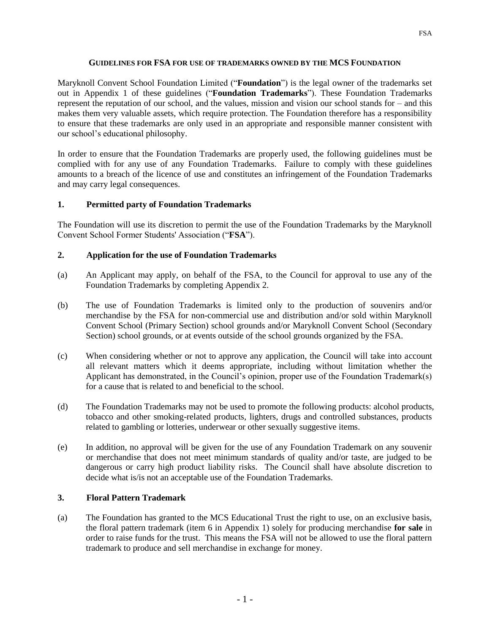### **GUIDELINES FOR FSA FOR USE OF TRADEMARKS OWNED BY THE MCS FOUNDATION**

Maryknoll Convent School Foundation Limited ("**Foundation**") is the legal owner of the trademarks set out in Appendix 1 of these guidelines ("**Foundation Trademarks**"). These Foundation Trademarks represent the reputation of our school, and the values, mission and vision our school stands for – and this makes them very valuable assets, which require protection. The Foundation therefore has a responsibility to ensure that these trademarks are only used in an appropriate and responsible manner consistent with our school's educational philosophy.

In order to ensure that the Foundation Trademarks are properly used, the following guidelines must be complied with for any use of any Foundation Trademarks. Failure to comply with these guidelines amounts to a breach of the licence of use and constitutes an infringement of the Foundation Trademarks and may carry legal consequences.

# **1. Permitted party of Foundation Trademarks**

The Foundation will use its discretion to permit the use of the Foundation Trademarks by the Maryknoll Convent School Former Students' Association ("**FSA**").

# **2. Application for the use of Foundation Trademarks**

- (a) An Applicant may apply, on behalf of the FSA, to the Council for approval to use any of the Foundation Trademarks by completing Appendix 2.
- (b) The use of Foundation Trademarks is limited only to the production of souvenirs and/or merchandise by the FSA for non-commercial use and distribution and/or sold within Maryknoll Convent School (Primary Section) school grounds and/or Maryknoll Convent School (Secondary Section) school grounds, or at events outside of the school grounds organized by the FSA.
- (c) When considering whether or not to approve any application, the Council will take into account all relevant matters which it deems appropriate, including without limitation whether the Applicant has demonstrated, in the Council's opinion, proper use of the Foundation Trademark(s) for a cause that is related to and beneficial to the school.
- (d) The Foundation Trademarks may not be used to promote the following products: alcohol products, tobacco and other smoking-related products, lighters, drugs and controlled substances, products related to gambling or lotteries, underwear or other sexually suggestive items.
- (e) In addition, no approval will be given for the use of any Foundation Trademark on any souvenir or merchandise that does not meet minimum standards of quality and/or taste, are judged to be dangerous or carry high product liability risks. The Council shall have absolute discretion to decide what is/is not an acceptable use of the Foundation Trademarks.

# **3. Floral Pattern Trademark**

(a) The Foundation has granted to the MCS Educational Trust the right to use, on an exclusive basis, the floral pattern trademark (item 6 in Appendix 1) solely for producing merchandise **for sale** in order to raise funds for the trust. This means the FSA will not be allowed to use the floral pattern trademark to produce and sell merchandise in exchange for money.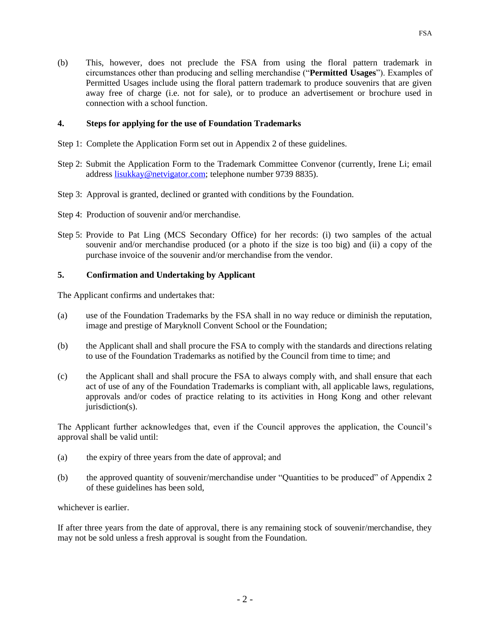(b) This, however, does not preclude the FSA from using the floral pattern trademark in circumstances other than producing and selling merchandise ("**Permitted Usages**"). Examples of Permitted Usages include using the floral pattern trademark to produce souvenirs that are given away free of charge (i.e. not for sale), or to produce an advertisement or brochure used in connection with a school function.

#### **4. Steps for applying for the use of Foundation Trademarks**

- Step 1: Complete the Application Form set out in Appendix 2 of these guidelines.
- Step 2: Submit the Application Form to the Trademark Committee Convenor (currently, Irene Li; email address [lisukkay@netvigator.com;](mailto:lisukkay@netvigator.com) telephone number 9739 8835).
- Step 3: Approval is granted, declined or granted with conditions by the Foundation.
- Step 4: Production of souvenir and/or merchandise.
- Step 5: Provide to Pat Ling (MCS Secondary Office) for her records: (i) two samples of the actual souvenir and/or merchandise produced (or a photo if the size is too big) and (ii) a copy of the purchase invoice of the souvenir and/or merchandise from the vendor.

### **5. Confirmation and Undertaking by Applicant**

The Applicant confirms and undertakes that:

- (a) use of the Foundation Trademarks by the FSA shall in no way reduce or diminish the reputation, image and prestige of Maryknoll Convent School or the Foundation;
- (b) the Applicant shall and shall procure the FSA to comply with the standards and directions relating to use of the Foundation Trademarks as notified by the Council from time to time; and
- (c) the Applicant shall and shall procure the FSA to always comply with, and shall ensure that each act of use of any of the Foundation Trademarks is compliant with, all applicable laws, regulations, approvals and/or codes of practice relating to its activities in Hong Kong and other relevant jurisdiction(s).

The Applicant further acknowledges that, even if the Council approves the application, the Council's approval shall be valid until:

- (a) the expiry of three years from the date of approval; and
- (b) the approved quantity of souvenir/merchandise under "Quantities to be produced" of Appendix 2 of these guidelines has been sold,

whichever is earlier.

If after three years from the date of approval, there is any remaining stock of souvenir/merchandise, they may not be sold unless a fresh approval is sought from the Foundation.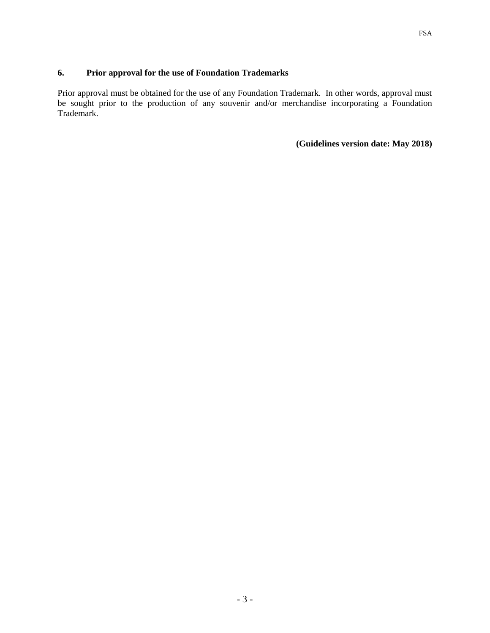# **6. Prior approval for the use of Foundation Trademarks**

Prior approval must be obtained for the use of any Foundation Trademark. In other words, approval must be sought prior to the production of any souvenir and/or merchandise incorporating a Foundation Trademark.

**(Guidelines version date: May 2018)**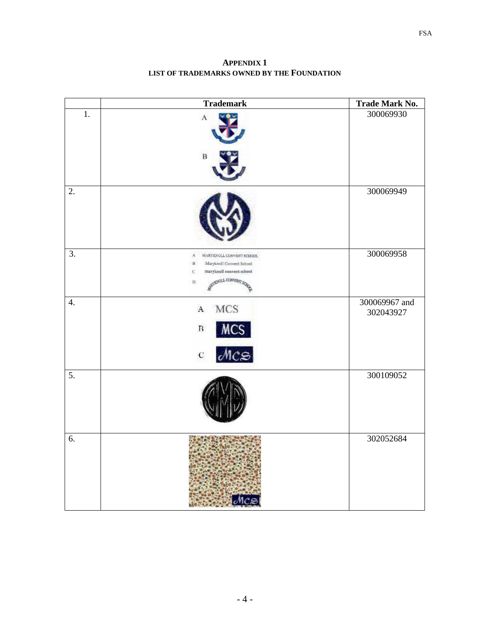**APPENDIX 1 LIST OF TRADEMARKS OWNED BY THE FOUNDATION** 

|                  | <b>Trademark</b>                                                                                                                            | Trade Mark No.             |
|------------------|---------------------------------------------------------------------------------------------------------------------------------------------|----------------------------|
| $\overline{1}$ . | A<br>$\, {\bf B}$                                                                                                                           | 300069930                  |
| $\overline{2}$ . |                                                                                                                                             | 300069949                  |
| $\overline{3}$ . | $\Lambda$<br>MARY KNOLL CONVENT SCHOOL<br>Maryknsil Convert School<br>$\mathbf{B}$<br>maryknell convent school<br>c<br>STREET CONVENT<br>D. | 300069958                  |
| 4.               | <b>MCS</b><br>$\rm A$<br><b>MCS</b><br>$\ensuremath{\mathsf{B}}$<br>$MC \odot$<br>$\mathbf{C}$                                              | 300069967 and<br>302043927 |
| $\overline{5}$ . |                                                                                                                                             | 300109052                  |
| 6.               |                                                                                                                                             | 302052684                  |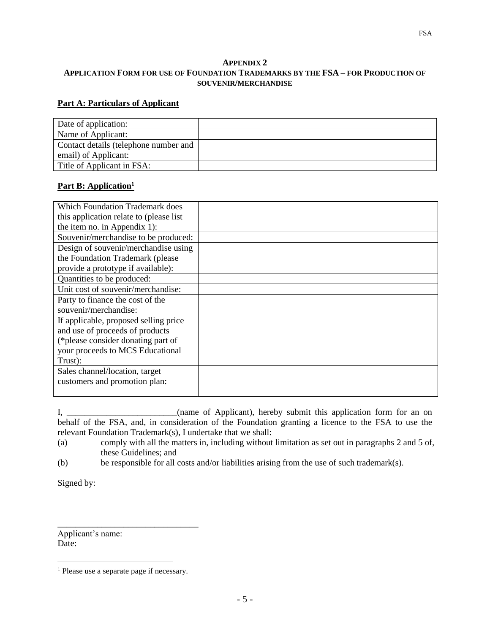#### **APPENDIX 2 APPLICATION FORM FOR USE OF FOUNDATION TRADEMARKS BY THE FSA – FOR PRODUCTION OF SOUVENIR/MERCHANDISE**

#### **Part A: Particulars of Applicant**

| Date of application:                  |  |
|---------------------------------------|--|
| Name of Applicant:                    |  |
| Contact details (telephone number and |  |
| email) of Applicant:                  |  |
| Title of Applicant in FSA:            |  |

### **Part B: Application<sup>1</sup>**

| <b>Which Foundation Trademark does</b>   |  |
|------------------------------------------|--|
| this application relate to (please list) |  |
| the item no. in Appendix 1):             |  |
| Souvenir/merchandise to be produced:     |  |
| Design of souvenir/merchandise using     |  |
| the Foundation Trademark (please)        |  |
| provide a prototype if available):       |  |
| Quantities to be produced:               |  |
| Unit cost of souvenir/merchandise:       |  |
| Party to finance the cost of the         |  |
| souvenir/merchandise:                    |  |
| If applicable, proposed selling price    |  |
| and use of proceeds of products          |  |
| (*please consider donating part of       |  |
| your proceeds to MCS Educational         |  |
| Trust):                                  |  |
| Sales channel/location, target           |  |
| customers and promotion plan:            |  |
|                                          |  |

I, \_\_\_\_\_\_\_\_\_\_\_\_\_\_\_\_\_\_\_\_\_\_(name of Applicant), hereby submit this application form for an on behalf of the FSA, and, in consideration of the Foundation granting a licence to the FSA to use the relevant Foundation Trademark(s), I undertake that we shall:

- (a) comply with all the matters in, including without limitation as set out in paragraphs 2 and 5 of, these Guidelines; and
- (b) be responsible for all costs and/or liabilities arising from the use of such trademark(s).

Signed by:

Applicant's name: Date:

\_\_\_\_\_\_\_\_\_\_\_\_\_\_\_\_\_\_\_\_\_\_\_\_\_\_\_\_\_\_\_\_

 $\overline{a}$ <sup>1</sup> Please use a separate page if necessary.